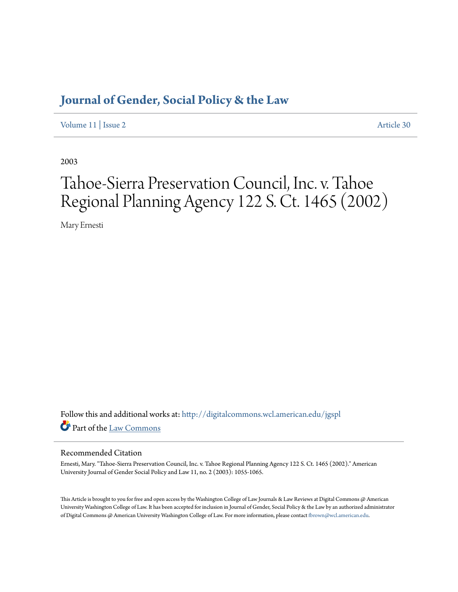## **[Journal of Gender, Social Policy & the Law](http://digitalcommons.wcl.american.edu/jgspl?utm_source=digitalcommons.wcl.american.edu%2Fjgspl%2Fvol11%2Fiss2%2F30&utm_medium=PDF&utm_campaign=PDFCoverPages)**

[Volume 11](http://digitalcommons.wcl.american.edu/jgspl/vol11?utm_source=digitalcommons.wcl.american.edu%2Fjgspl%2Fvol11%2Fiss2%2F30&utm_medium=PDF&utm_campaign=PDFCoverPages) | [Issue 2](http://digitalcommons.wcl.american.edu/jgspl/vol11/iss2?utm_source=digitalcommons.wcl.american.edu%2Fjgspl%2Fvol11%2Fiss2%2F30&utm_medium=PDF&utm_campaign=PDFCoverPages) [Article 30](http://digitalcommons.wcl.american.edu/jgspl/vol11/iss2/30?utm_source=digitalcommons.wcl.american.edu%2Fjgspl%2Fvol11%2Fiss2%2F30&utm_medium=PDF&utm_campaign=PDFCoverPages)

2003

# Tahoe-Sierra Preservation Council, Inc. v. Tahoe Regional Planning Agency 122 S. Ct. 1465 (2002)

Mary Ernesti

Follow this and additional works at: [http://digitalcommons.wcl.american.edu/jgspl](http://digitalcommons.wcl.american.edu/jgspl?utm_source=digitalcommons.wcl.american.edu%2Fjgspl%2Fvol11%2Fiss2%2F30&utm_medium=PDF&utm_campaign=PDFCoverPages) Part of the [Law Commons](http://network.bepress.com/hgg/discipline/578?utm_source=digitalcommons.wcl.american.edu%2Fjgspl%2Fvol11%2Fiss2%2F30&utm_medium=PDF&utm_campaign=PDFCoverPages)

### Recommended Citation

Ernesti, Mary. "Tahoe-Sierra Preservation Council, Inc. v. Tahoe Regional Planning Agency 122 S. Ct. 1465 (2002)." American University Journal of Gender Social Policy and Law 11, no. 2 (2003): 1055-1065.

This Article is brought to you for free and open access by the Washington College of Law Journals & Law Reviews at Digital Commons @ American University Washington College of Law. It has been accepted for inclusion in Journal of Gender, Social Policy & the Law by an authorized administrator of Digital Commons @ American University Washington College of Law. For more information, please contact [fbrown@wcl.american.edu.](mailto:fbrown@wcl.american.edu)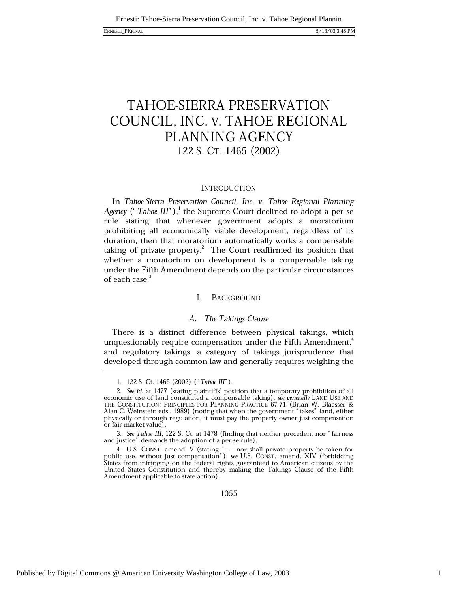### ERNESTI\_PKFINAL

# **TAHOE-SIERRA PRESERVATION** COUNCIL, INC. V. TAHOE REGIONAL PLANNING AGENCY 122 S. CT. 1465 (2002)

### **INTRODUCTION**

In Tahoe-Sierra Preservation Council, Inc. v. Tahoe Regional Planning Agency ("Tahoe III"), the Supreme Court declined to adopt a per se rule stating that whenever government adopts a moratorium prohibiting all economically viable development, regardless of its duration, then that moratorium automatically works a compensable taking of private property.<sup>2</sup> The Court reaffirmed its position that whether a moratorium on development is a compensable taking under the Fifth Amendment depends on the particular circumstances of each case.<sup>3</sup>

#### $\mathbf{I}$ **BACKGROUND**

### A. The Takings Clause

There is a distinct difference between physical takings, which unquestionably require compensation under the Fifth Amendment,<sup>4</sup> and regulatory takings, a category of takings jurisprudence that developed through common law and generally requires weighing the

<sup>1. 122</sup> S. Ct. 1465 (2002) ("Tahoe III").

<sup>2.</sup> See id. at 1477 (stating plaintiffs' position that a temporary prohibition of all economic use of land constituted a compensable taking); see generally LAND USE AND THE CONSTITUTION: PRINCIPLES FOR PLANNING PRACTICE 67-71 (Brian W. Blaesser & Alan C. Weinstein eds., 1989) (noting that when the government "takes" land, either physically or through regulation, it must pay the property owner just compensation or fair market value).

<sup>3.</sup> See Tahoe III, 122 S. Ct. at 1478 (finding that neither precedent nor "fairness and justice" demands the adoption of a per se rule).

<sup>4.</sup> U.S. CONST. amend. V (stating "... nor shall private property be taken for public use, without just compensation"); see U.S. CONST. amend. XIV (forbidding States from infringing on the federal rights guaranteed to American citizens by the United States Constitution and thereby making the Takings Clause of the Fifth Amendment applicable to state action).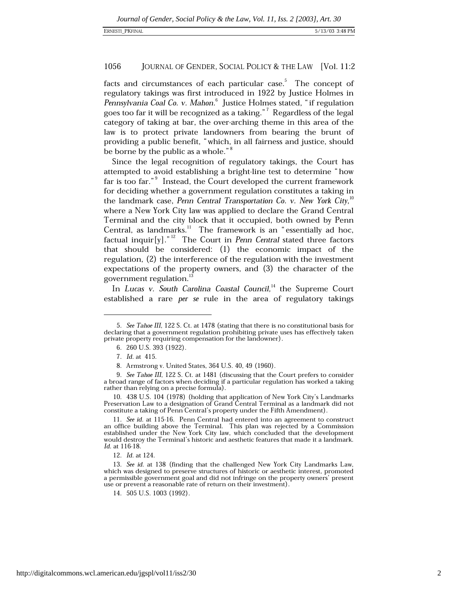facts and circumstances of each particular case.<sup>5</sup> The concept of regulatory takings was first introduced in 1922 by Justice Holmes in Pennsylvania Coal Co. v. Mahon.<sup>6</sup> Justice Holmes stated, "if regulation goes too far it will be recognized as a taking."<sup>7</sup> Regardless of the legal category of taking at bar, the over-arching theme in this area of the law is to protect private landowners from bearing the brunt of providing a public benefit, "which, in all fairness and justice, should be borne by the public as a whole."<sup>8</sup>

Since the legal recognition of regulatory takings, the Court has attempted to avoid establishing a bright-line test to determine "how far is too far."<sup>9</sup> Instead, the Court developed the current framework for deciding whether a government regulation constitutes a taking in the landmark case, Penn Central Transportation Co. v. New York City,<sup>10</sup> where a New York City law was applied to declare the Grand Central Terminal and the city block that it occupied, both owned by Penn Central, as landmarks.<sup>11</sup> The framework is an "essentially ad hoc, factual inquir $[y]$ ."<sup>12</sup> The Court in *Penn Central* stated three factors that should be considered: (1) the economic impact of the regulation, (2) the interference of the regulation with the investment expectations of the property owners, and (3) the character of the government regulation.

In Lucas v. South Carolina Coastal Council,<sup>14</sup> the Supreme Court established a rare per se rule in the area of regulatory takings

12. Id. at 124.

<sup>5.</sup> See Tahoe III, 122 S. Ct. at 1478 (stating that there is no constitutional basis for declaring that a government regulation prohibiting private uses has effectively taken private property requiring compensation for the landowner).

<sup>6. 260</sup> U.S. 393 (1922).

<sup>7.</sup> Id. at 415.

<sup>8.</sup> Armstrong v. United States, 364 U.S. 40, 49 (1960).

<sup>9.</sup> See Tahoe III, 122 S. Ct. at 1481 (discussing that the Court prefers to consider a broad range of factors when deciding if a particular regulation has worked a taking rather than relying on a precise formula).

<sup>10. 438</sup> U.S. 104 (1978) (holding that application of New York City's Landmarks Preservation Law to a designation of Grand Central Terminal as a landmark did not constitute a taking of Penn Central's property under the Fifth Amendment).

<sup>11.</sup> See id. at 115-16. Penn Central had entered into an agreement to construct an office building above the Terminal. This plan was rejected by a Commission established under the New York City law, which concluded that the development would destroy the Terminal's historic and aesthetic features that made it a landmark. Id. at 116-18.

<sup>13.</sup> See id. at 138 (finding that the challenged New York City Landmarks Law, which was designed to preserve structures of historic or aesthetic interest, promoted a permissible government goal and did not infringe on the property owners' present use or prevent a reasonable rate of return on their investment).

<sup>14. 505</sup> U.S. 1003 (1992).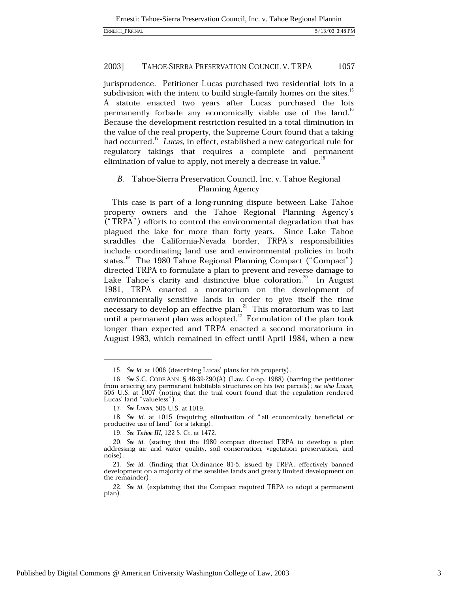jurisprudence. Petitioner Lucas purchased two residential lots in a subdivision with the intent to build single-family homes on the sites.<sup>13</sup> A statute enacted two years after Lucas purchased the lots permanently forbade any economically viable use of the land.<sup>16</sup> Because the development restriction resulted in a total diminution in the value of the real property, the Supreme Court found that a taking had occurred.<sup>17</sup> Lucas, in effect, established a new categorical rule for regulatory takings that requires a complete and permanent elimination of value to apply, not merely a decrease in value.<sup>18</sup>

### B. Tahoe-Sierra Preservation Council, Inc. v. Tahoe Regional Planning Agency

This case is part of a long-running dispute between Lake Tahoe property owners and the Tahoe Regional Planning Agency's ("TRPA") efforts to control the environmental degradation that has plagued the lake for more than forty years. Since Lake Tahoe straddles the California-Nevada border, TRPA's responsibilities include coordinating land use and environmental policies in both states.<sup>19</sup> The 1980 Tahoe Regional Planning Compact ("Compact") directed TRPA to formulate a plan to prevent and reverse damage to Lake Tahoe's clarity and distinctive blue coloration.<sup>20</sup> In August 1981, TRPA enacted a moratorium on the development of environmentally sensitive lands in order to give itself the time necessary to develop an effective plan.<sup>21</sup> This moratorium was to last until a permanent plan was adopted. $^{22}$  Formulation of the plan took longer than expected and TRPA enacted a second moratorium in August 1983, which remained in effect until April 1984, when a new

<sup>15.</sup> See id. at 1006 (describing Lucas' plans for his property).

<sup>16.</sup> See S.C. CODE ANN. § 48-39-290(A) (Law. Co-op. 1988) (barring the petitioner from erecting any permanent habitable structures on his two parcels); see also Lucas, 505 U.S. at 1007 (noting that the trial court found that the regulation rendered Lucas' land "valueless").

<sup>17.</sup> See Lucas, 505 U.S. at 1019.

<sup>18.</sup> See id. at 1015 (requiring elimination of "all economically beneficial or productive use of land" for a taking).

<sup>19.</sup> See Tahoe III, 122 S. Ct. at 1472.

<sup>20.</sup> See id. (stating that the 1980 compact directed TRPA to develop a plan addressing air and water quality, soil conservation, vegetation preservation, and noise).

<sup>21.</sup> See id. (finding that Ordinance 81-5, issued by TRPA, effectively banned development on a majority of the sensitive lands and greatly limited development on the remainder).

<sup>22.</sup> See id. (explaining that the Compact required TRPA to adopt a permanent plan).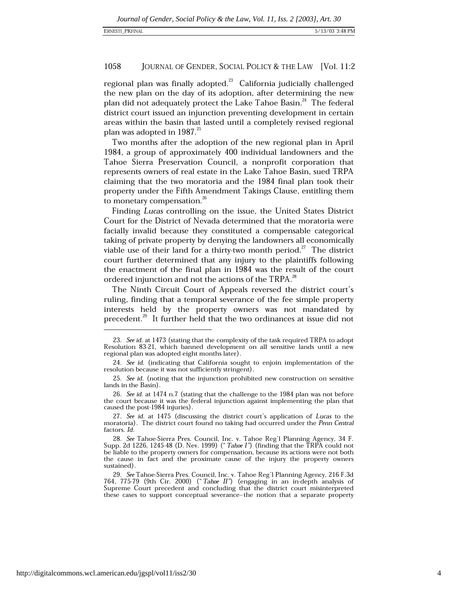regional plan was finally adopted.<sup>23</sup> California judicially challenged the new plan on the day of its adoption, after determining the new plan did not adequately protect the Lake Tahoe Basin.<sup>24</sup> The federal district court issued an injunction preventing development in certain areas within the basin that lasted until a completely revised regional plan was adopted in 1987.<sup>25</sup>

Two months after the adoption of the new regional plan in April 1984, a group of approximately 400 individual landowners and the Tahoe Sierra Preservation Council, a nonprofit corporation that represents owners of real estate in the Lake Tahoe Basin, sued TRPA claiming that the two moratoria and the 1984 final plan took their property under the Fifth Amendment Takings Clause, entitling them to monetary compensation.<sup>26</sup>

Finding Lucas controlling on the issue, the United States District Court for the District of Nevada determined that the moratoria were facially invalid because they constituted a compensable categorical taking of private property by denying the landowners all economically viable use of their land for a thirty-two month period. $^{27}$  The district court further determined that any injury to the plaintiffs following the enactment of the final plan in 1984 was the result of the court ordered injunction and not the actions of the TRPA.<sup>28</sup>

The Ninth Circuit Court of Appeals reversed the district court's ruling, finding that a temporal severance of the fee simple property interests held by the property owners was not mandated by precedent.<sup>29</sup> It further held that the two ordinances at issue did not

<sup>23.</sup> See id. at 1473 (stating that the complexity of the task required TRPA to adopt Resolution 83-21, which banned development on all sensitive lands until a new regional plan was adopted eight months later).

<sup>24.</sup> See id. (indicating that California sought to enjoin implementation of the resolution because it was not sufficiently stringent).

<sup>25.</sup> See id. (noting that the injunction prohibited new construction on sensitive lands in the Basin).

<sup>26.</sup> See id. at 1474 n.7 (stating that the challenge to the 1984 plan was not before the court because it was the federal injunction against implementing the plan that caused the post-1984 injuries).

<sup>27.</sup> See id. at 1475 (discussing the district court's application of Lucas to the moratoria). The district court found no taking had occurred under the Penn Central factors. Id.

<sup>28.</sup> See Tahoe-Sierra Pres. Council, Inc. v. Tahoe Reg'l Planning Agency, 34 F. Supp. 2d 1226, 1245-48 (D. Nev. 1999) ("Tahoe I") (finding that the TRPA could not be liable to the property owners for compensation, because its actions were not both the cause in fact and the proximate cause of the injury the property owners sustained).

<sup>29.</sup> See Tahoe-Sierra Pres. Council, Inc. v. Tahoe Reg'l Planning Agency, 216 F.3d 764, 775-79 (9th Cir. 2000) ("Tahoe II") (engaging in an in-depth analysis of Supreme Court precedent and concluding that the district court misinterpreted these cases to support conceptual severance-the notion that a separate property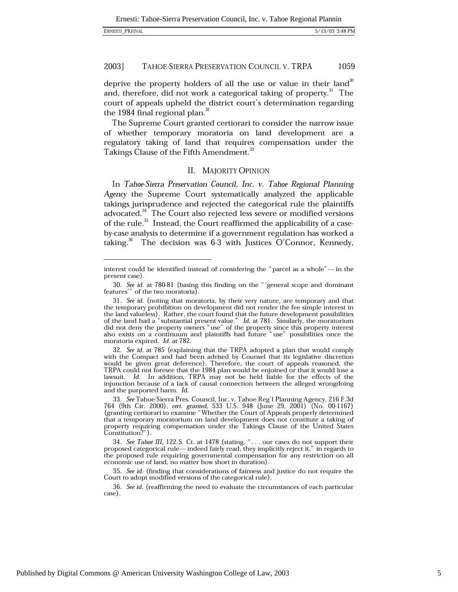deprive the property holders of all the use or value in their land<sup>30</sup> and, therefore, did not work a categorical taking of property.<sup>31</sup> The court of appeals upheld the district court's determination regarding the 1984 final regional plan.<sup>32</sup>

The Supreme Court granted certiorari to consider the narrow issue of whether temporary moratoria on land development are a regulatory taking of land that requires compensation under the Takings Clause of the Fifth Amendment.<sup>33</sup>

### II. MAJORITY OPINION

In Tahoe-Sierra Preservation Council, Inc. v. Tahoe Regional Planning Agency the Supreme Court systematically analyzed the applicable takings jurisprudence and rejected the categorical rule the plaintiffs advocated.<sup>34</sup> The Court also rejected less severe or modified versions of the rule.<sup>35</sup> Instead, the Court reaffirmed the applicability of a caseby-case analysis to determine if a government regulation has worked a taking.<sup>36</sup> The decision was 6-3 with Justices O'Connor, Kennedy,

interest could be identified instead of considering the "parcel as a whole"—in the present case).

<sup>30.</sup> See id. at 780-81 (basing this finding on the "'general scope and dominant features'" of the two moratoria).

<sup>31.</sup> See id. (noting that moratoria, by their very nature, are temporary and that the temporary prohibition on development did not render the fee simple interest in the land valueless). Rather, the court found that the future development possibilities of the land had a "substantial present value." Id. at 781. Similarly, the moratorium did not deny the property owners "use" of the property since this property interest<br>also exists on a continuum and plaintiffs had future "use" possibilities once the moratoria expired. Id. at 782.

<sup>32.</sup> See id. at 785 (explaining that the TRPA adopted a plan that would comply with the Compact and had been advised by Counsel that its legislative discretion would be given great deference). Therefore, the court of appeals reasoned, the TRPA could not foresee that the 1984 plan would be enjoined or that it would lose a lawsuit. Id. In addition, TRPA may not be held liable for the effects of the injunction because of a lack of causal connection between the alleged wrongdoing and the purported harm. Id.

<sup>33.</sup> See Tahoe-Sierra Pres. Council, Inc. v. Tahoe Reg'l Planning Agency, 216 F.3d 764 (9th Cir. 2000), cert. granted, 533 U.S. 948 (June 29, 2001) (No. 00-1167) (granting certiorari to examine "Whether the Court of Appeals properly determined that a temporary moratorium on land development does not constitute a taking of property requiring compensation under the Takings Clause of the United States<br>Constitution?").

<sup>34.</sup> See Tahoe III, 122 S. Ct. at 1478 (stating, "... our cases do not support their proposed categorical rule—indeed fairly read, they implicitly reject it," in regards to the proposed rule requiring governmental compensation for any restriction on all economic use of land, no matter how short in duration).

<sup>35.</sup> See id. (finding that considerations of fairness and justice do not require the Court to adopt modified versions of the categorical rule).

<sup>36.</sup> See id. (reaffirming the need to evaluate the circumstances of each particular case).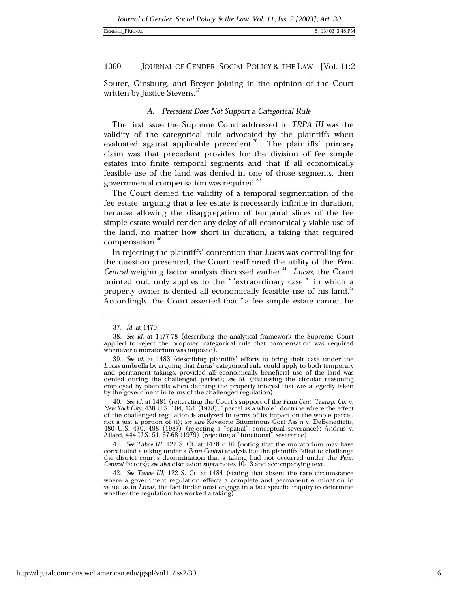Souter, Ginsburg, and Breyer joining in the opinion of the Court written by Justice Stevens.<sup>37</sup>

### A. Precedent Does Not Support a Categorical Rule

The first issue the Supreme Court addressed in TRPA III was the validity of the categorical rule advocated by the plaintiffs when evaluated against applicable precedent.<sup>38</sup> The plaintiffs' primary claim was that precedent provides for the division of fee simple estates into finite temporal segments and that if all economically feasible use of the land was denied in one of those segments, then governmental compensation was required.<sup>39</sup>

The Court denied the validity of a temporal segmentation of the fee estate, arguing that a fee estate is necessarily infinite in duration, because allowing the disaggregation of temporal slices of the fee simple estate would render any delay of all economically viable use of the land, no matter how short in duration, a taking that required compensation.<sup>40</sup>

In rejecting the plaintiffs' contention that Lucas was controlling for the question presented, the Court reaffirmed the utility of the Penn Central weighing factor analysis discussed earlier.<sup>41</sup> Lucas, the Court pointed out, only applies to the "'extraordinary case'" in which a property owner is denied all economically feasible use of his land.<sup>42</sup> Accordingly, the Court asserted that "a fee simple estate cannot be

<sup>37.</sup> Id. at 1470.

<sup>38.</sup> See id. at 1477-78 (describing the analytical framework the Supreme Court applied to reject the proposed categorical rule that compensation was required whenever a moratorium was imposed).

<sup>39.</sup> See id. at 1483 (describing plaintiffs' efforts to bring their case under the Lucas umbrella by arguing that Lucas' categorical rule could apply to both temporary and permanent takings, provided all economically beneficial use of the land was denied during the challenged period); see id. (discussing the circular reasoning employed by plaintiffs when defining the property interest that was allegedly taken by the government in terms of the challenged regulation).

<sup>40.</sup> See id. at 1481 (reiterating the Court's support of the Penn Cent. Transp. Co. v. New York City, 438 U.S. 104, 131 (1978), "parcel as a whole" doctrine where the effect of the challenged regulation is analyzed in terms of its impact on the whole parcel, not a just a portion of it); see also Keystone Bituminous Coal Ass'n v. DeBenedictis, 480 U.S. 470, 498 (1987) (rejecting a "spatial" conceptual severance); Andrus v. Allard, 444 U.S. 51, 67-68 (1979) (rejecting a "functional" severance).

<sup>41.</sup> See Tahoe III, 122 S. Ct. at 1478 n.16 (noting that the moratorium may have constituted a taking under a Penn Central analysis but the plaintiffs failed to challenge the district court's determination that a taking had not occurred under the *Penn*<br>Central factors); see also discussion supra notes 10-13 and accompanying text.

<sup>42.</sup> See Tahoe III, 122 S. Ct. at 1484 (stating that absent the rare circumstance where a government regulation effects a complete and permanent elimination in value, as in Lucas, the fact finder must engage in a fact specific inquiry to determine whether the regulation has worked a taking).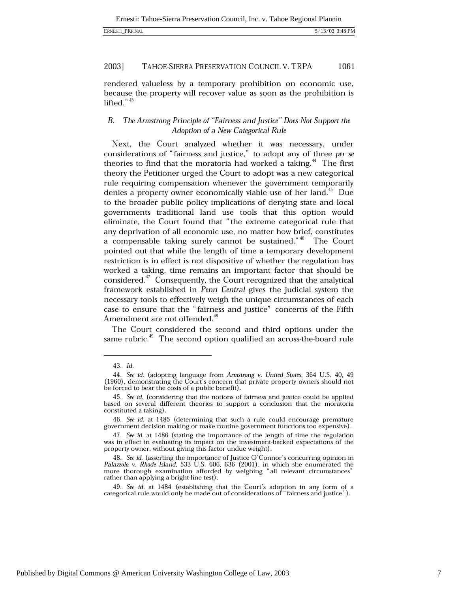rendered valueless by a temporary prohibition on economic use, because the property will recover value as soon as the prohibition is lifted." $43$ 

### The Armstrong Principle of "Fairness and Justice" Does Not Support the *B.* Adoption of a New Categorical Rule

Next, the Court analyzed whether it was necessary, under considerations of "fairness and justice," to adopt any of three per se theories to find that the moratoria had worked a taking.<sup>44</sup> The first theory the Petitioner urged the Court to adopt was a new categorical rule requiring compensation whenever the government temporarily denies a property owner economically viable use of her land.<sup>45</sup> Due to the broader public policy implications of denying state and local governments traditional land use tools that this option would eliminate, the Court found that "the extreme categorical rule that any deprivation of all economic use, no matter how brief, constitutes a compensable taking surely cannot be sustained."<sup>46</sup> The Court pointed out that while the length of time a temporary development restriction is in effect is not dispositive of whether the regulation has worked a taking, time remains an important factor that should be considered.<sup>47</sup> Consequently, the Court recognized that the analytical framework established in Penn Central gives the judicial system the necessary tools to effectively weigh the unique circumstances of each case to ensure that the "fairness and justice" concerns of the Fifth Amendment are not offended.<sup>48</sup>

The Court considered the second and third options under the same rubric.<sup>49</sup> The second option qualified an across-the-board rule

<sup>43.</sup> Id.

<sup>44.</sup> See id. (adopting language from Armstrong v. United States, 364 U.S. 40, 49 (1960), demonstrating the Court's concern that private property owners should not be forced to bear the costs of a public benefit).

<sup>45.</sup> See id. (considering that the notions of fairness and justice could be applied based on several different theories to support a conclusion that the moratoria constituted a taking).

<sup>46.</sup> See id. at 1485 (determining that such a rule could encourage premature government decision making or make routine government functions too expensive).

<sup>47.</sup> See id. at 1486 (stating the importance of the length of time the regulation was in effect in evaluating its impact on the investment-backed expectations of the property owner, without giving this factor undue weight).

<sup>48.</sup> See id. (asserting the importance of Justice O'Connor's concurring opinion in Palazzolo v. Rhode Island, 533 U.S. 606, 636 (2001), in which she enumerated the more thorough examination afforded by weighing "all relevant circumstances" rather than applying a bright-line test).

<sup>49.</sup> See id. at 1484 (establishing that the Court's adoption in any form of a categorical rule would only be made out of considerations of "fairness and justice").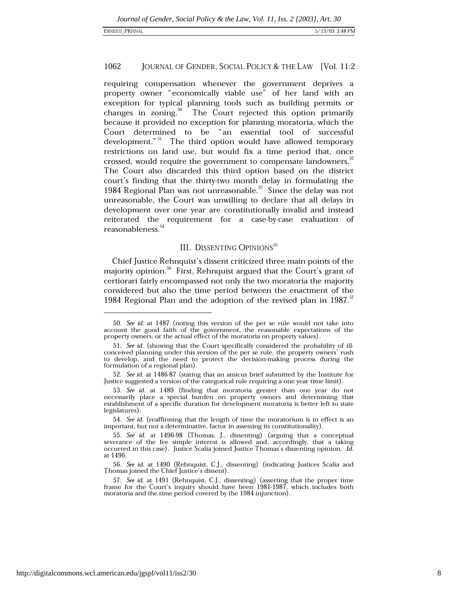requiring compensation whenever the government deprives a property owner "economically viable use" of her land with an exception for typical planning tools such as building permits or changes in zoning.<sup>50</sup> The Court rejected this option primarily because it provided no exception for planning moratoria, which the Court determined to be "an essential tool of successful development."<sup>51</sup> The third option would have allowed temporary restrictions on land use, but would fix a time period that, once crossed, would require the government to compensate landowners.<sup>52</sup> The Court also discarded this third option based on the district court's finding that the thirty-two month delay in formulating the 1984 Regional Plan was not unreasonable.<sup>53</sup> Since the delay was not unreasonable, the Court was unwilling to declare that all delays in development over one year are constitutionally invalid and instead reiterated the requirement for a case-by-case evaluation of reasonableness.

### **III. DISSENTING OPINIONS**<sup>55</sup>

Chief Justice Rehnquist's dissent criticized three main points of the majority opinion.<sup>56</sup> First, Rehnquist argued that the Court's grant of certiorari fairly encompassed not only the two moratoria the majority considered but also the time period between the enactment of the 1984 Regional Plan and the adoption of the revised plan in 1987.<sup>57</sup>

<sup>50.</sup> See id. at 1487 (noting this version of the per se rule would not take into account the good faith of the government, the reasonable expectations of the property owners, or the actual effect of the moratoria on property values).

<sup>51.</sup> See id. (showing that the Court specifically considered the probability of illconceived planning under this version of the per se rule, the property owners' rush to develop, and the need to protect the decision-making process during the formulation of a regional plan).

<sup>52.</sup> See id. at 1486-87 (stating that an amicus brief submitted by the Institute for Justice suggested a version of the categorical rule requiring a one year time limit).

<sup>53.</sup> See id. at 1489 (finding that moratoria greater than one year do not necessarily place a special burden on property owners and determining that establishment of a specific duration for development moratoria is better left to state legislatures).

<sup>54.</sup> See id. (reaffirming that the length of time the moratorium is in effect is an important, but not a determinative, factor in assessing its constitutionality).

<sup>55.</sup> See id. at 1496-98 (Thomas, J., dissenting) (arguing that a conceptual severance of the fee simple interest is allowed and, accordingly, that a taking occurred in this case). Justice Scalia joined Justice Thomas's dissenting opinion. Id. at 1496.

<sup>56.</sup> See id. at 1490 (Rehnquist, C.J., dissenting) (indicating Justices Scalia and Thomas joined the Chief Justice's dissent).

<sup>57.</sup> See id. at 1491 (Rehnquist, C.J., dissenting) (asserting that the proper time frame for the Court's inquiry should have been 1981-1987, which includes both moratoria and the time period covered by the 1984 injunction).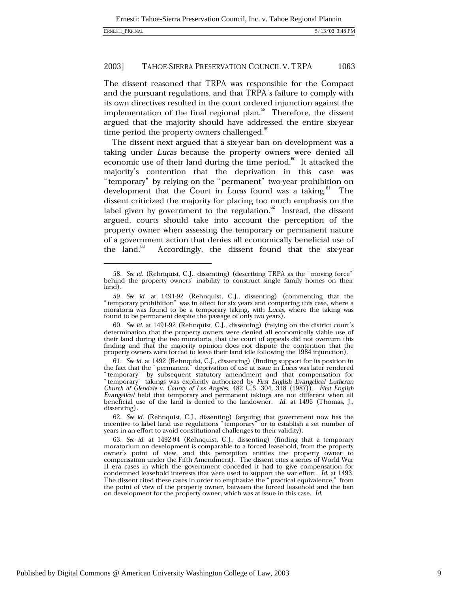The dissent reasoned that TRPA was responsible for the Compact and the pursuant regulations, and that TRPA's failure to comply with its own directives resulted in the court ordered injunction against the implementation of the final regional plan.<sup>38</sup> Therefore, the dissent argued that the majority should have addressed the entire six-year time period the property owners challenged.<sup>39</sup>

The dissent next argued that a six-year ban on development was a taking under Lucas because the property owners were denied all economic use of their land during the time period.<sup>60</sup> It attacked the majority's contention that the deprivation in this case was "temporary" by relying on the "permanent" two-year prohibition on development that the Court in Lucas found was a taking.<sup>61</sup> The dissent criticized the majority for placing too much emphasis on the label given by government to the regulation. $62$  Instead, the dissent argued, courts should take into account the perception of the property owner when assessing the temporary or permanent nature of a government action that denies all economically beneficial use of the land.<sup>b3</sup> Accordingly, the dissent found that the six-year

62. See id. (Rehnquist, C.J., dissenting) (arguing that government now has the incentive to label land use regulations "temporary" or to establish a set number of years in an effort to avoid constitutional challenges to their validity).

<sup>58.</sup> See id. (Rehnquist, C.J., dissenting) (describing TRPA as the "moving force" behind the property owners' inability to construct single family homes on their land).

<sup>59.</sup> See id. at 1491-92 (Rehnquist, C.J., dissenting) (commenting that the "temporary prohibition" was in effect for six years and comparing this case, where a moratoria was found to be a temporary taking, with Lucas, where the taking was found to be permanent despite the passage of only two years).

<sup>60.</sup> See id. at 1491-92 (Rehnquist, C.J., dissenting) (relying on the district court's determination that the property owners were denied all economically viable use of their land during the two moratoria, that the court of appeals did not overturn this finding and that the majority opinion does not dispute the contention that the property owners were forced to leave their land idle following the 1984 injunction).

<sup>61.</sup> See id. at 1492 (Rehnquist, C.J., dissenting) (finding support for its position in the fact that the "permanent" deprivation of use at issue in Lucas was later rendered<br>
"temporary" by subsequent statutory amendment and that compensation for<br>
"temporary" takings was explicitly authorized by First English Evangelical held that temporary and permanent takings are not different when all beneficial use of the land is denied to the landowner. Id. at 1496 (Thomas, J., dissenting).

<sup>63.</sup> See id. at 1492-94 (Rehnquist, C.J., dissenting) (finding that a temporary moratorium on development is comparable to a forced leasehold, from the property owner's point of view, and this perception entitles the property owner to compensation under the Fifth Amendment). The dissent cites a series of World War II era cases in which the government conceded it had to give compensation for condemned leasehold interests that were used to support the war effort. Id. at 1493. The dissent cited these cases in order to emphasize the "practical equivalence," from the point of view of the property owner, between the forced leasehold and the ban on development for the property owner, which was at issue in this case. Id.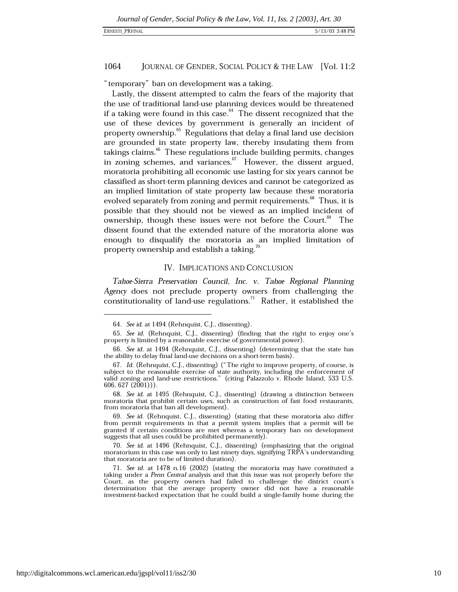### ERNESTI\_PKFINAL

#### 1064 JOURNAL OF GENDER, SOCIAL POLICY & THE LAW [Vol. 11:2

"temporary" ban on development was a taking.

Lastly, the dissent attempted to calm the fears of the majority that the use of traditional land-use planning devices would be threatened if a taking were found in this case.<sup>64</sup> The dissent recognized that the use of these devices by government is generally an incident of property ownership.<sup>65</sup> Regulations that delay a final land use decision are grounded in state property law, thereby insulating them from takings claims.<sup>66</sup> These regulations include building permits, changes in zoning schemes, and variances.<sup>67</sup> However, the dissent argued, moratoria prohibiting all economic use lasting for six years cannot be classified as short-term planning devices and cannot be categorized as an implied limitation of state property law because these moratoria evolved separately from zoning and permit requirements.<sup>68</sup> Thus, it is possible that they should not be viewed as an implied incident of ownership, though these issues were not before the Court.<sup>69</sup> The dissent found that the extended nature of the moratoria alone was enough to disqualify the moratoria as an implied limitation of property ownership and establish a taking.<sup>70</sup>

### IV. IMPLICATIONS AND CONCLUSION

Tahoe-Sierra Preservation Council, Inc. v. Tahoe Regional Planning Agency does not preclude property owners from challenging the constitutionality of land-use regulations.<sup>71</sup> Rather, it established the

68. See id. at 1495 (Rehnquist, C.J., dissenting) (drawing a distinction between moratoria that prohibit certain uses, such as construction of fast food restaurants, from moratoria that ban all development).

70. See id. at 1496 (Rehnquist, C.J., dissenting) (emphasizing that the original moratorium in this case was only to last ninety days, signifying TRPA's understanding that moratoria are to be of limited duration).

71. See id. at 1478 n.16 (2002) (stating the moratoria may have constituted a taking under a Penn Central analysis and that this issue was not properly before the Court, as the property owners had failed to challenge the district court's determination that the average property owner did not have a reasonable investment-backed expectation that he could build a single-family home during the

<sup>64.</sup> See id. at 1494 (Rehnquist, C.J., dissenting).

<sup>65.</sup> See id. (Rehnquist, C.J., dissenting) (finding that the right to enjoy one's property is limited by a reasonable exercise of governmental power).

<sup>66.</sup> See id. at 1494 (Rehnquist, C.J., dissenting) (determining that the state has the ability to delay final land-use decisions on a short-term basis).

<sup>67.</sup> Id. (Rehnquist, C.J., dissenting) ("The right to improve property, of course, is subject to the reasonable exercise of state authority, including the enforcement of valid zoning and land-use restrictions." (citing Palazzolo v. Rhode Island, 533 U.S.  $606, 627 (2001))$ .

<sup>69.</sup> See id. (Rehnquist, C.J., dissenting) (stating that these moratoria also differ from permit requirements in that a permit system implies that a permit will be granted if certain conditions are met whereas a temporary ban on development suggests that all uses could be prohibited permanently).